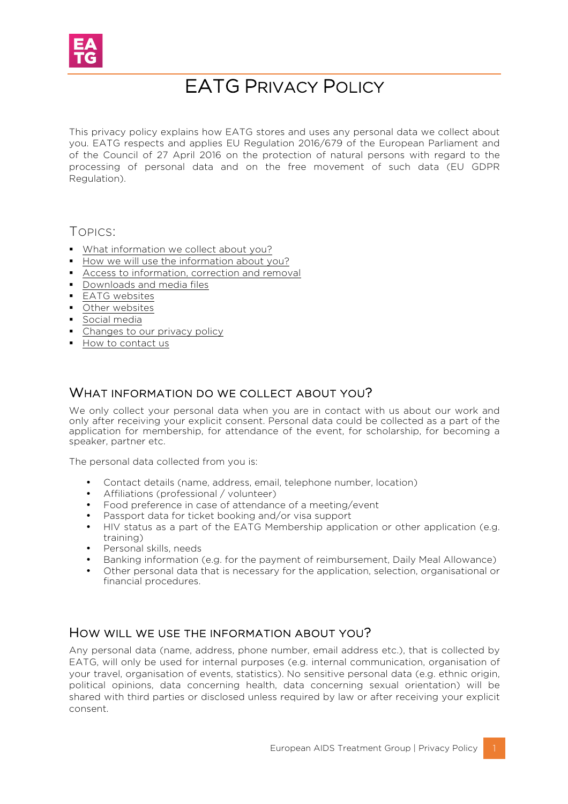

# EATG PRIVACY POLICY

This privacy policy explains how EATG stores and uses any personal data we collect about you. EATG respects and applies EU Regulation 2016/679 of the European Parliament and of the Council of 27 April 2016 on the protection of natural persons with regard to the processing of personal data and on the free movement of such data (EU GDPR Regulation).

TOPICS:

- § What information we collect about you?
- § How we will use the information about you?
- Access to information, correction and removal
- § Downloads and media files
- EATG websites
- § Other websites
- § Social media
- Changes to our privacy policy
- How to contact us

## WHAT INFORMATION DO WE COLLECT ABOUT YOU?

We only collect your personal data when you are in contact with us about our work and only after receiving your explicit consent. Personal data could be collected as a part of the application for membership, for attendance of the event, for scholarship, for becoming a speaker, partner etc.

The personal data collected from you is:

- Contact details (name, address, email, telephone number, location)
- Affiliations (professional / volunteer)
- Food preference in case of attendance of a meeting/event
- Passport data for ticket booking and/or visa support
- HIV status as a part of the EATG Membership application or other application (e.g. training)
- Personal skills, needs
- Banking information (e.g. for the payment of reimbursement, Daily Meal Allowance)
- Other personal data that is necessary for the application, selection, organisational or financial procedures.

## HOW WILL WE USE THE INFORMATION ABOUT YOU?

Any personal data (name, address, phone number, email address etc.), that is collected by EATG, will only be used for internal purposes (e.g. internal communication, organisation of your travel, organisation of events, statistics). No sensitive personal data (e.g. ethnic origin, political opinions, data concerning health, data concerning sexual orientation) will be shared with third parties or disclosed unless required by law or after receiving your explicit consent.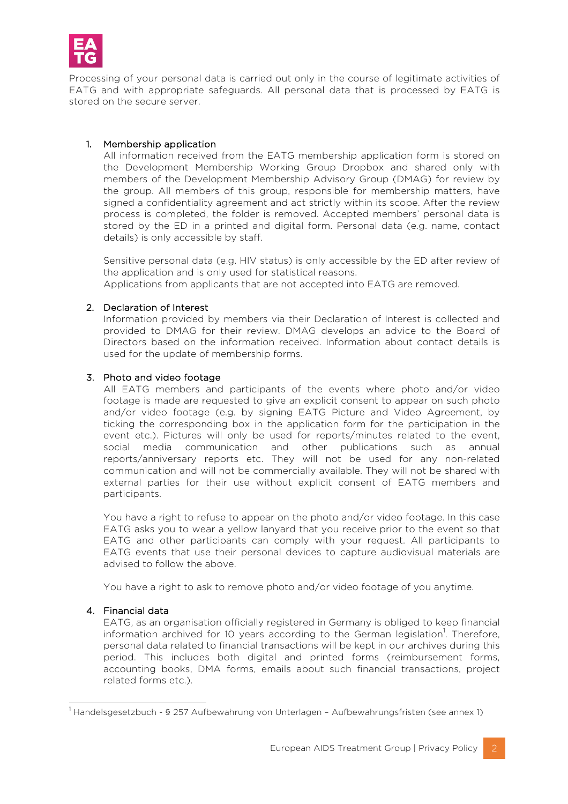

Processing of your personal data is carried out only in the course of legitimate activities of EATG and with appropriate safeguards. All personal data that is processed by EATG is stored on the secure server.

#### 1. Membership application

All information received from the EATG membership application form is stored on the Development Membership Working Group Dropbox and shared only with members of the Development Membership Advisory Group (DMAG) for review by the group. All members of this group, responsible for membership matters, have signed a confidentiality agreement and act strictly within its scope. After the review process is completed, the folder is removed. Accepted members' personal data is stored by the ED in a printed and digital form. Personal data (e.g. name, contact details) is only accessible by staff.

Sensitive personal data (e.g. HIV status) is only accessible by the ED after review of the application and is only used for statistical reasons. Applications from applicants that are not accepted into EATG are removed.

#### 2. Declaration of Interest

Information provided by members via their Declaration of Interest is collected and provided to DMAG for their review. DMAG develops an advice to the Board of Directors based on the information received. Information about contact details is used for the update of membership forms.

#### 3. Photo and video footage

All EATG members and participants of the events where photo and/or video footage is made are requested to give an explicit consent to appear on such photo and/or video footage (e.g. by signing EATG Picture and Video Agreement, by ticking the corresponding box in the application form for the participation in the event etc.). Pictures will only be used for reports/minutes related to the event, social media communication and other publications such as annual reports/anniversary reports etc. They will not be used for any non-related communication and will not be commercially available. They will not be shared with external parties for their use without explicit consent of EATG members and participants.

You have a right to refuse to appear on the photo and/or video footage. In this case EATG asks you to wear a yellow lanyard that you receive prior to the event so that EATG and other participants can comply with your request. All participants to EATG events that use their personal devices to capture audiovisual materials are advised to follow the above.

You have a right to ask to remove photo and/or video footage of you anytime.

### 4. Financial data

EATG, as an organisation officially registered in Germany is obliged to keep financial information archived for 10 years according to the German legislation<sup>1</sup>. Therefore, personal data related to financial transactions will be kept in our archives during this period. This includes both digital and printed forms (reimbursement forms, accounting books, DMA forms, emails about such financial transactions, project related forms etc.).

<sup>&</sup>lt;sup>1</sup> Handelsgesetzbuch - § 257 Aufbewahrung von Unterlagen - Aufbewahrungsfristen (see annex 1)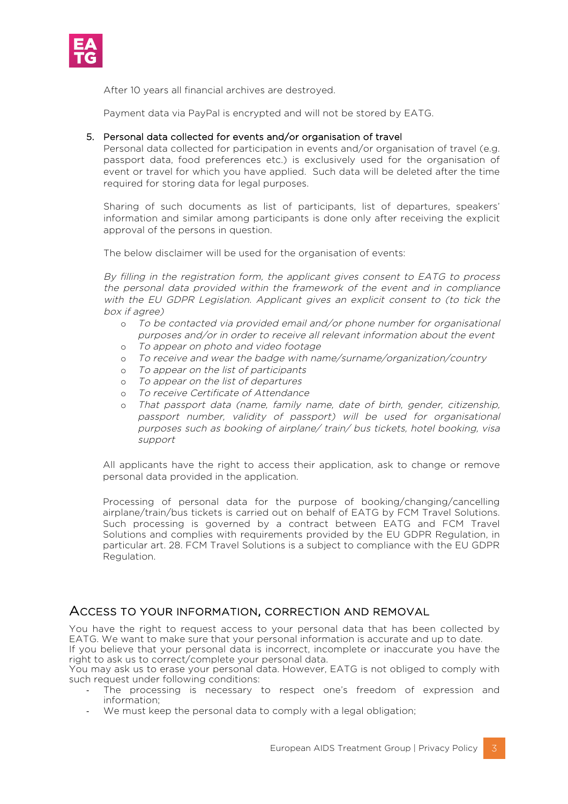

After 10 years all financial archives are destroyed.

Payment data via PayPal is encrypted and will not be stored by EATG.

#### 5. Personal data collected for events and/or organisation of travel

Personal data collected for participation in events and/or organisation of travel (e.g. passport data, food preferences etc.) is exclusively used for the organisation of event or travel for which you have applied. Such data will be deleted after the time required for storing data for legal purposes.

Sharing of such documents as list of participants, list of departures, speakers' information and similar among participants is done only after receiving the explicit approval of the persons in question.

The below disclaimer will be used for the organisation of events:

By filling in the registration form, the applicant gives consent to EATG to process the personal data provided within the framework of the event and in compliance with the EU GDPR Legislation. Applicant gives an explicit consent to (to tick the box if agree)

- o To be contacted via provided email and/or phone number for organisational purposes and/or in order to receive all relevant information about the event
- o To appear on photo and video footage
- o To receive and wear the badge with name/surname/organization/country
- o To appear on the list of participants
- o To appear on the list of departures
- o To receive Certificate of Attendance
- o That passport data (name, family name, date of birth, gender, citizenship, passport number, validity of passport) will be used for organisational purposes such as booking of airplane/ train/ bus tickets, hotel booking, visa support

All applicants have the right to access their application, ask to change or remove personal data provided in the application.

Processing of personal data for the purpose of booking/changing/cancelling airplane/train/bus tickets is carried out on behalf of EATG by FCM Travel Solutions. Such processing is governed by a contract between EATG and FCM Travel Solutions and complies with requirements provided by the EU GDPR Regulation, in particular art. 28. FCM Travel Solutions is a subject to compliance with the EU GDPR Regulation.

### ACCESS TO YOUR INFORMATION, CORRECTION AND REMOVAL

You have the right to request access to your personal data that has been collected by EATG. We want to make sure that your personal information is accurate and up to date. If you believe that your personal data is incorrect, incomplete or inaccurate you have the

right to ask us to correct/complete your personal data. You may ask us to erase your personal data. However, EATG is not obliged to comply with

such request under following conditions:

- The processing is necessary to respect one's freedom of expression and information;
- We must keep the personal data to comply with a legal obligation;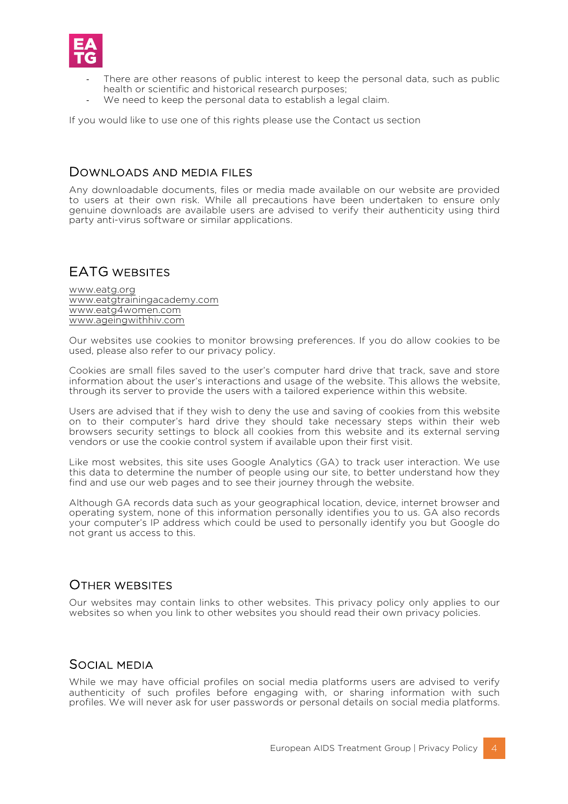

- There are other reasons of public interest to keep the personal data, such as public health or scientific and historical research purposes;
- We need to keep the personal data to establish a legal claim.

If you would like to use one of this rights please use the Contact us section

## DOWNLOADS AND MEDIA FILES

Any downloadable documents, files or media made available on our website are provided to users at their own risk. While all precautions have been undertaken to ensure only genuine downloads are available users are advised to verify their authenticity using third party anti-virus software or similar applications.

## EATG WEBSITES

www.eatg.org www.eatgtrainingacademy.com www.eatg4women.com www.ageingwithhiv.com

Our websites use cookies to monitor browsing preferences. If you do allow cookies to be used, please also refer to our privacy policy.

Cookies are small files saved to the user's computer hard drive that track, save and store information about the user's interactions and usage of the website. This allows the website, through its server to provide the users with a tailored experience within this website.

Users are advised that if they wish to deny the use and saving of cookies from this website on to their computer's hard drive they should take necessary steps within their web browsers security settings to block all cookies from this website and its external serving vendors or use the cookie control system if available upon their first visit.

Like most websites, this site uses Google Analytics (GA) to track user interaction. We use this data to determine the number of people using our site, to better understand how they find and use our web pages and to see their journey through the website.

Although GA records data such as your geographical location, device, internet browser and operating system, none of this information personally identifies you to us. GA also records your computer's IP address which could be used to personally identify you but Google do not grant us access to this.

## OTHER WEBSITES

Our websites may contain links to other websites. This privacy policy only applies to our websites so when you link to other websites you should read their own privacy policies.

## SOCIAL MEDIA

While we may have official profiles on social media platforms users are advised to verify authenticity of such profiles before engaging with, or sharing information with such profiles. We will never ask for user passwords or personal details on social media platforms.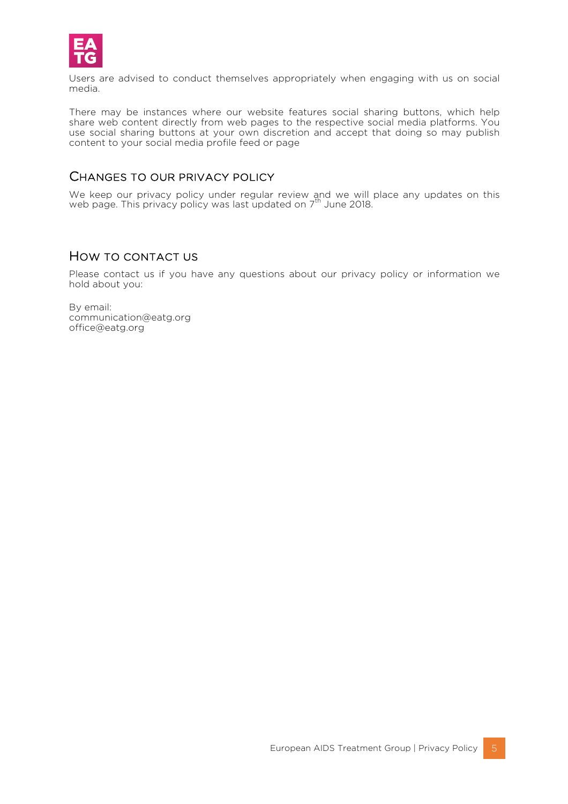

Users are advised to conduct themselves appropriately when engaging with us on social media.

There may be instances where our website features social sharing buttons, which help share web content directly from web pages to the respective social media platforms. You use social sharing buttons at your own discretion and accept that doing so may publish content to your social media profile feed or page

## CHANGES TO OUR PRIVACY POLICY

We keep our privacy policy under regular review and we will place any updates on this web page. This privacy policy was last updated on 7<sup>th</sup> June 2018.

## HOW TO CONTACT US

Please contact us if you have any questions about our privacy policy or information we hold about you:

By email: communication@eatg.org office@eatg.org